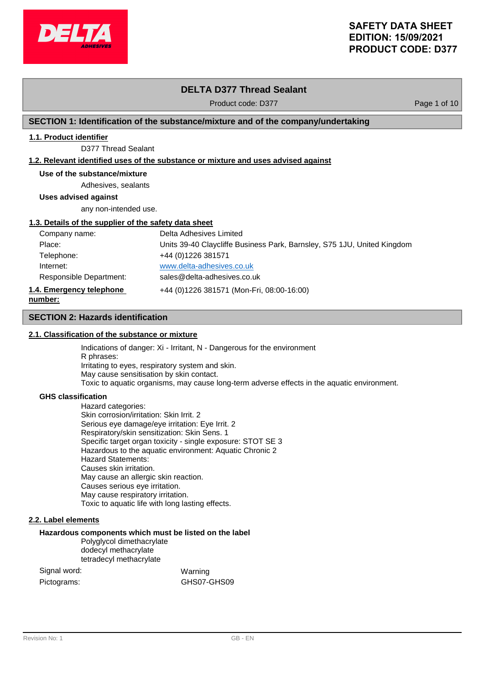

# **DELTA D377 Thread Sealant**

Product code: D377 Product code: D377

## **SECTION 1: Identification of the substance/mixture and of the company/undertaking**

## **1.1. Product identifier**

D377 Thread Sealant

## **1.2. Relevant identified uses of the substance or mixture and uses advised against**

## **Use of the substance/mixture**

Adhesives, sealants

**Uses advised against**

any non-intended use.

## **1.3. Details of the supplier of the safety data sheet**

| Company name:            | Delta Adhesives Limited                                                 |
|--------------------------|-------------------------------------------------------------------------|
| Place:                   | Units 39-40 Claycliffe Business Park, Barnsley, S75 1JU, United Kingdom |
| Telephone:               | +44 (0) 1226 381571                                                     |
| Internet:                | www.delta-adhesives.co.uk                                               |
| Responsible Department:  | sales@delta-adhesives.co.uk                                             |
| 1.4. Emergency telephone | +44 (0)1226 381571 (Mon-Fri, 08:00-16:00)                               |
| number:                  |                                                                         |

## **SECTION 2: Hazards identification**

## **2.1. Classification of the substance or mixture**

Indications of danger: Xi - Irritant, N - Dangerous for the environment R phrases: Irritating to eyes, respiratory system and skin. May cause sensitisation by skin contact. Toxic to aquatic organisms, may cause long-term adverse effects in the aquatic environment.

### **GHS classification**

**number:**

Hazard categories: Skin corrosion/irritation: Skin Irrit. 2 Serious eye damage/eye irritation: Eye Irrit. 2 Respiratory/skin sensitization: Skin Sens. 1 Specific target organ toxicity - single exposure: STOT SE 3 Hazardous to the aquatic environment: Aquatic Chronic 2 Hazard Statements: Causes skin irritation. May cause an allergic skin reaction. Causes serious eye irritation. May cause respiratory irritation. Toxic to aquatic life with long lasting effects.

## **2.2. Label elements**

## **Hazardous components which must be listed on the label**

Polyglycol dimethacrylate dodecyl methacrylate tetradecyl methacrylate

| Signal word: | Warning     |
|--------------|-------------|
| Pictograms:  | GHS07-GHS09 |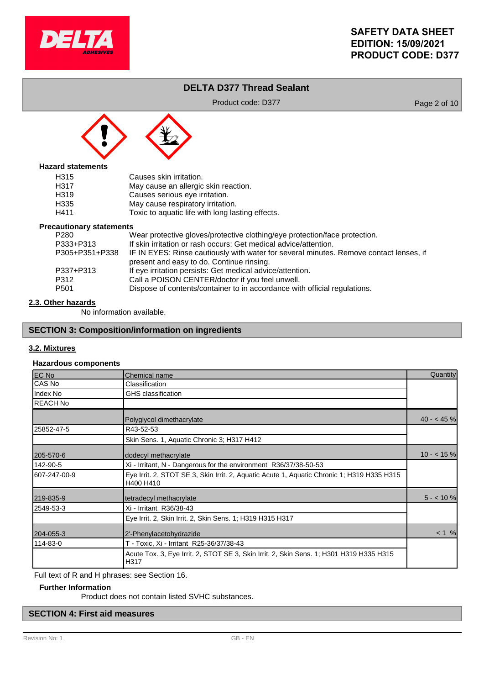

# **DELTA D377 Thread Sealant**

Product code: D377 Product code: D377



## **Hazard statements**

| H315             | Causes skin irritation.                          |
|------------------|--------------------------------------------------|
| H317             | May cause an allergic skin reaction.             |
| H <sub>319</sub> | Causes serious eye irritation.                   |
| H335             | May cause respiratory irritation.                |
| H411             | Toxic to aquatic life with long lasting effects. |

### **Precautionary statements**

| <u>aational I otatonionio</u> |                                                                                        |
|-------------------------------|----------------------------------------------------------------------------------------|
| P280                          | Wear protective gloves/protective clothing/eye protection/face protection.             |
| P333+P313                     | If skin irritation or rash occurs: Get medical advice/attention.                       |
| P305+P351+P338                | IF IN EYES: Rinse cautiously with water for several minutes. Remove contact lenses, if |
|                               | present and easy to do. Continue rinsing.                                              |
| P337+P313                     | If eye irritation persists: Get medical advice/attention.                              |
| P312                          | Call a POISON CENTER/doctor if you feel unwell.                                        |
| P501                          | Dispose of contents/container to in accordance with official regulations.              |
|                               |                                                                                        |

## **2.3. Other hazards**

No information available.

## **SECTION 3: Composition/information on ingredients**

## **3.2. Mixtures**

## **Hazardous components**

| EC No           | Chemical name                                                                                           | Quantity    |
|-----------------|---------------------------------------------------------------------------------------------------------|-------------|
| CAS No          | Classification                                                                                          |             |
| Index No        | <b>GHS</b> classification                                                                               |             |
| <b>REACH No</b> |                                                                                                         |             |
|                 | Polyglycol dimethacrylate                                                                               | $40 - 45%$  |
| 25852-47-5      | R43-52-53                                                                                               |             |
|                 | Skin Sens. 1, Aquatic Chronic 3; H317 H412                                                              |             |
| 205-570-6       | dodecyl methacrylate                                                                                    | $10 - 15$ % |
| 142-90-5        | Xi - Irritant, N - Dangerous for the environment R36/37/38-50-53                                        |             |
| 607-247-00-9    | Eye Irrit. 2, STOT SE 3, Skin Irrit. 2, Aquatic Acute 1, Aquatic Chronic 1; H319 H335 H315<br>H400 H410 |             |
| 219-835-9       | tetradecyl methacrylate                                                                                 | $5 - 10%$   |
| 2549-53-3       | Xi - Irritant R36/38-43                                                                                 |             |
|                 | Eye Irrit. 2, Skin Irrit. 2, Skin Sens. 1; H319 H315 H317                                               |             |
| 204-055-3       | 2'-Phenylacetohydrazide                                                                                 | $< 1$ %     |
| 114-83-0        | T - Toxic, Xi - Irritant R25-36/37/38-43                                                                |             |
|                 | Acute Tox. 3, Eye Irrit. 2, STOT SE 3, Skin Irrit. 2, Skin Sens. 1; H301 H319 H335 H315<br>H317         |             |

Full text of R and H phrases: see Section 16.

## **Further Information**

Product does not contain listed SVHC substances.

# **SECTION 4: First aid measures**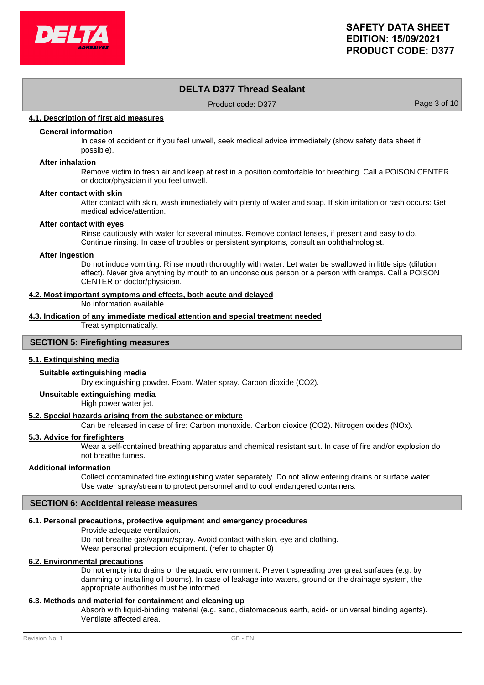

# **DELTA D377 Thread Sealant**

Product code: D377 Product code: D377

## **4.1. Description of first aid measures**

## **General information**

In case of accident or if you feel unwell, seek medical advice immediately (show safety data sheet if possible).

### **After inhalation**

Remove victim to fresh air and keep at rest in a position comfortable for breathing. Call a POISON CENTER or doctor/physician if you feel unwell.

### **After contact with skin**

After contact with skin, wash immediately with plenty of water and soap. If skin irritation or rash occurs: Get medical advice/attention.

### **After contact with eyes**

Rinse cautiously with water for several minutes. Remove contact lenses, if present and easy to do. Continue rinsing. In case of troubles or persistent symptoms, consult an ophthalmologist.

#### **After ingestion**

Do not induce vomiting. Rinse mouth thoroughly with water. Let water be swallowed in little sips (dilution effect). Never give anything by mouth to an unconscious person or a person with cramps. Call a POISON CENTER or doctor/physician.

### **4.2. Most important symptoms and effects, both acute and delayed**

No information available.

# **4.3. Indication of any immediate medical attention and special treatment needed**

Treat symptomatically.

## **SECTION 5: Firefighting measures**

## **5.1. Extinguishing media**

### **Suitable extinguishing media**

Dry extinguishing powder. Foam. Water spray. Carbon dioxide (CO2).

## **Unsuitable extinguishing media**

High power water jet.

### **5.2. Special hazards arising from the substance or mixture**

Can be released in case of fire: Carbon monoxide. Carbon dioxide (CO2). Nitrogen oxides (NOx).

### **5.3. Advice for firefighters**

Wear a self-contained breathing apparatus and chemical resistant suit. In case of fire and/or explosion do not breathe fumes.

### **Additional information**

Collect contaminated fire extinguishing water separately. Do not allow entering drains or surface water. Use water spray/stream to protect personnel and to cool endangered containers.

## **SECTION 6: Accidental release measures**

### **6.1. Personal precautions, protective equipment and emergency procedures**

Provide adequate ventilation. Do not breathe gas/vapour/spray. Avoid contact with skin, eye and clothing. Wear personal protection equipment. (refer to chapter 8)

### **6.2. Environmental precautions**

Do not empty into drains or the aquatic environment. Prevent spreading over great surfaces (e.g. by damming or installing oil booms). In case of leakage into waters, ground or the drainage system, the appropriate authorities must be informed.

## **6.3. Methods and material for containment and cleaning up**

Absorb with liquid-binding material (e.g. sand, diatomaceous earth, acid- or universal binding agents). Ventilate affected area.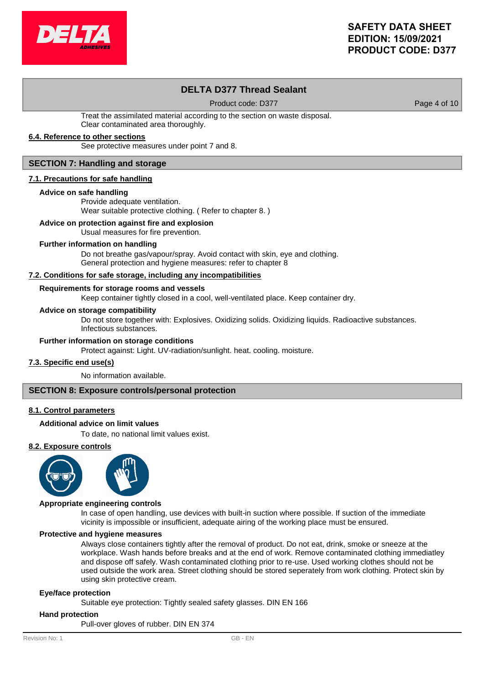

# **DELTA D377 Thread Sealant**

Product code: D377 Product code: D377

Treat the assimilated material according to the section on waste disposal. Clear contaminated area thoroughly.

## **6.4. Reference to other sections**

See protective measures under point 7 and 8.

### **SECTION 7: Handling and storage**

### **7.1. Precautions for safe handling**

### **Advice on safe handling**

Provide adequate ventilation. Wear suitable protective clothing. ( Refer to chapter 8. )

## **Advice on protection against fire and explosion**

Usual measures for fire prevention.

### **Further information on handling**

Do not breathe gas/vapour/spray. Avoid contact with skin, eye and clothing. General protection and hygiene measures: refer to chapter 8

### **7.2. Conditions for safe storage, including any incompatibilities**

## **Requirements for storage rooms and vessels**

Keep container tightly closed in a cool, well-ventilated place. Keep container dry.

### **Advice on storage compatibility**

Do not store together with: Explosives. Oxidizing solids. Oxidizing liquids. Radioactive substances. Infectious substances.

### **Further information on storage conditions**

Protect against: Light. UV-radiation/sunlight. heat. cooling. moisture.

### **7.3. Specific end use(s)**

No information available.

### **SECTION 8: Exposure controls/personal protection**

### **8.1. Control parameters**

### **Additional advice on limit values**

To date, no national limit values exist.

### **8.2. Exposure controls**



### **Appropriate engineering controls**

In case of open handling, use devices with built-in suction where possible. If suction of the immediate vicinity is impossible or insufficient, adequate airing of the working place must be ensured.

### **Protective and hygiene measures**

Always close containers tightly after the removal of product. Do not eat, drink, smoke or sneeze at the workplace. Wash hands before breaks and at the end of work. Remove contaminated clothing immediatley and dispose off safely. Wash contaminated clothing prior to re-use. Used working clothes should not be used outside the work area. Street clothing should be stored seperately from work clothing. Protect skin by using skin protective cream.

### **Eye/face protection**

Suitable eye protection: Tightly sealed safety glasses. DIN EN 166

### **Hand protection**

Pull-over gloves of rubber. DIN EN 374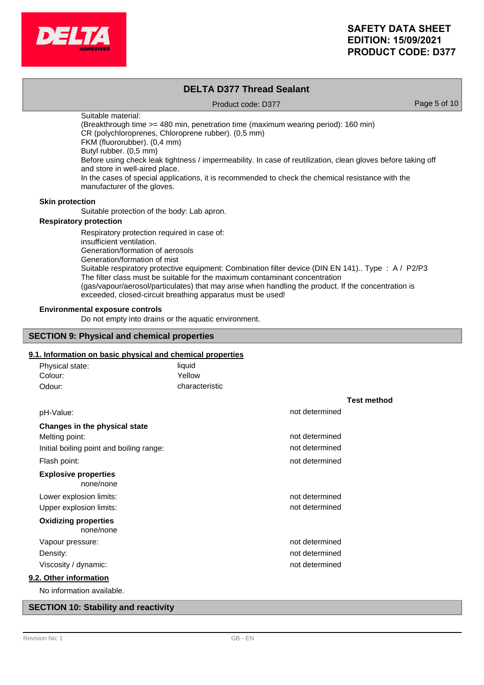

## **DELTA D377 Thread Sealant** Product code: D377 Product code: D377 Suitable material: (Breakthrough time >= 480 min, penetration time (maximum wearing period): 160 min) CR (polychloroprenes, Chloroprene rubber). (0,5 mm) FKM (fluororubber). (0,4 mm) Butyl rubber. (0,5 mm) Before using check leak tightness / impermeability. In case of reutilization, clean gloves before taking off and store in well-aired place. In the cases of special applications, it is recommended to check the chemical resistance with the manufacturer of the gloves. Suitable protection of the body: Lab apron. **Skin protection** Respiratory protection required in case of: **Respiratory protection**

insufficient ventilation. Generation/formation of aerosols Generation/formation of mist Suitable respiratory protective equipment: Combination filter device (DIN EN 141).. Type : A / P2/P3 The filter class must be suitable for the maximum contaminant concentration (gas/vapour/aerosol/particulates) that may arise when handling the product. If the concentration is exceeded, closed-circuit breathing apparatus must be used!

## **Environmental exposure controls**

Do not empty into drains or the aquatic environment.

### **SECTION 9: Physical and chemical properties**

## **9.1. Information on basic physical and chemical properties**

| Physical state:                          | liquid         |                |                    |
|------------------------------------------|----------------|----------------|--------------------|
| Colour:                                  | Yellow         |                |                    |
| Odour:                                   | characteristic |                |                    |
|                                          |                |                | <b>Test method</b> |
| pH-Value:                                |                | not determined |                    |
| Changes in the physical state            |                |                |                    |
| Melting point:                           |                | not determined |                    |
| Initial boiling point and boiling range: |                | not determined |                    |
| Flash point:                             |                | not determined |                    |
| <b>Explosive properties</b><br>none/none |                |                |                    |
| Lower explosion limits:                  |                | not determined |                    |
| Upper explosion limits:                  |                | not determined |                    |
| <b>Oxidizing properties</b><br>none/none |                |                |                    |
| Vapour pressure:                         |                | not determined |                    |
| Density:                                 |                | not determined |                    |
| Viscosity / dynamic:                     |                | not determined |                    |
| 9.2. Other information                   |                |                |                    |
| No information available.                |                |                |                    |

## **SECTION 10: Stability and reactivity**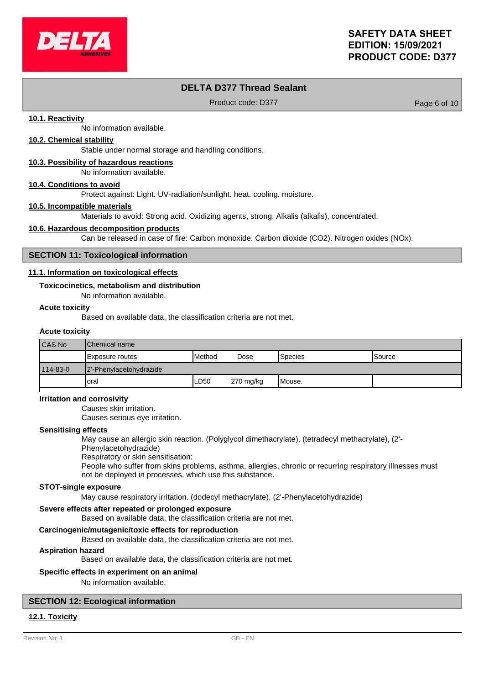

# **DELTA D377 Thread Sealant**

Product code: D377 Product code: D377

## **10.1. Reactivity**

No information available.

## **10.2. Chemical stability**

Stable under normal storage and handling conditions.

### **10.3. Possibility of hazardous reactions**

No information available.

### **10.4. Conditions to avoid**

Protect against: Light. UV-radiation/sunlight. heat. cooling. moisture.

### **10.5. Incompatible materials**

Materials to avoid: Strong acid. Oxidizing agents, strong. Alkalis (alkalis), concentrated.

### **10.6. Hazardous decomposition products**

Can be released in case of fire: Carbon monoxide. Carbon dioxide (CO2). Nitrogen oxides (NOx).

### **SECTION 11: Toxicological information**

### **11.1. Information on toxicological effects**

### **Toxicocinetics, metabolism and distribution**

No information available.

## **Acute toxicity**

Based on available data, the classification criteria are not met.

### **Acute toxicity**

| CAS No   | IChemical name          |                 |           |                 |                |
|----------|-------------------------|-----------------|-----------|-----------------|----------------|
|          | Exposure routes         | <b>I</b> Method | Dose      | <b>S</b> pecies | <b>ISource</b> |
| 114-83-0 | 2'-Phenylacetohydrazide |                 |           |                 |                |
|          | 'oral                   | LD50            | 270 mg/kg | Mouse.          |                |

### **Irritation and corrosivity**

Causes skin irritation.

Causes serious eye irritation.

### **Sensitising effects**

May cause an allergic skin reaction. (Polyglycol dimethacrylate), (tetradecyl methacrylate), (2'-

## Phenylacetohydrazide)

Respiratory or skin sensitisation:

People who suffer from skins problems, asthma, allergies, chronic or recurring respiratory illnesses must not be deployed in processes, which use this substance.

### **STOT-single exposure**

May cause respiratory irritation. (dodecyl methacrylate), (2'-Phenylacetohydrazide)

### **Severe effects after repeated or prolonged exposure**

Based on available data, the classification criteria are not met.

### **Carcinogenic/mutagenic/toxic effects for reproduction**

Based on available data, the classification criteria are not met.

### **Aspiration hazard**

Based on available data, the classification criteria are not met.

### **Specific effects in experiment on an animal**

No information available.

## **SECTION 12: Ecological information**

## **12.1. Toxicity**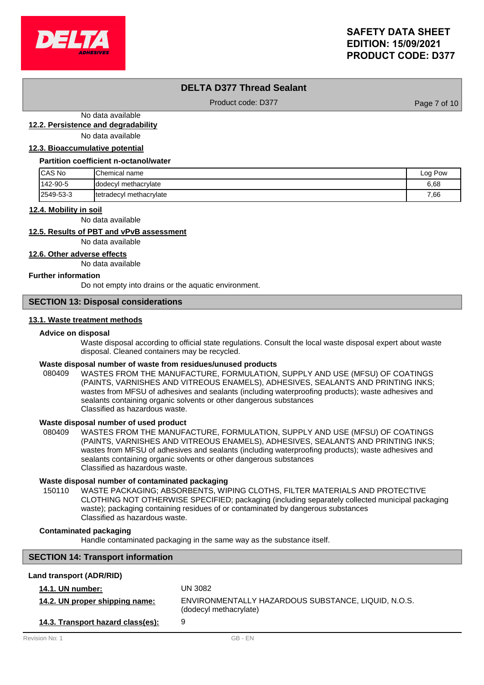

## **DELTA D377 Thread Sealant**

Product code: D377 Product code: D377

No data available

**12.2. Persistence and degradability**

No data available

## **12.3. Bioaccumulative potential**

#### **Partition coefficient n-octanol/water**

| <b>ICAS No</b> | <b>Chemical name</b>    | Log Pow |
|----------------|-------------------------|---------|
| 142-90-5       | Idodecyl methacrylate   | 6,68    |
| 2549-53-3      | tetradecyl methacrylate | 7,66    |

### **12.4. Mobility in soil**

No data available

## **12.5. Results of PBT and vPvB assessment**

No data available

**12.6. Other adverse effects**

No data available

### **Further information**

Do not empty into drains or the aquatic environment.

## **SECTION 13: Disposal considerations**

## **13.1. Waste treatment methods**

### **Advice on disposal**

Waste disposal according to official state regulations. Consult the local waste disposal expert about waste disposal. Cleaned containers may be recycled.

### **Waste disposal number of waste from residues/unused products**

080409 WASTES FROM THE MANUFACTURE, FORMULATION, SUPPLY AND USE (MFSU) OF COATINGS (PAINTS, VARNISHES AND VITREOUS ENAMELS), ADHESIVES, SEALANTS AND PRINTING INKS; wastes from MFSU of adhesives and sealants (including waterproofing products); waste adhesives and sealants containing organic solvents or other dangerous substances Classified as hazardous waste.

### **Waste disposal number of used product**

WASTES FROM THE MANUFACTURE, FORMULATION, SUPPLY AND USE (MFSU) OF COATINGS (PAINTS, VARNISHES AND VITREOUS ENAMELS), ADHESIVES, SEALANTS AND PRINTING INKS; wastes from MFSU of adhesives and sealants (including waterproofing products); waste adhesives and sealants containing organic solvents or other dangerous substances Classified as hazardous waste. 080409

### **Waste disposal number of contaminated packaging**

WASTE PACKAGING; ABSORBENTS, WIPING CLOTHS, FILTER MATERIALS AND PROTECTIVE CLOTHING NOT OTHERWISE SPECIFIED; packaging (including separately collected municipal packaging waste); packaging containing residues of or contaminated by dangerous substances Classified as hazardous waste. 150110

## **Contaminated packaging**

Handle contaminated packaging in the same way as the substance itself.

## **SECTION 14: Transport information**

## **Land transport (ADR/RID)**

| <b>14.1. UN number:</b>           | UN 3082                                                                       |
|-----------------------------------|-------------------------------------------------------------------------------|
| 14.2. UN proper shipping name:    | ENVIRONMENTALLY HAZARDOUS SUBSTANCE, LIQUID, N.O.S.<br>(dodecyl methacrylate) |
| 14.3. Transport hazard class(es): | 9                                                                             |
| Revision No: 1                    | GB - FN                                                                       |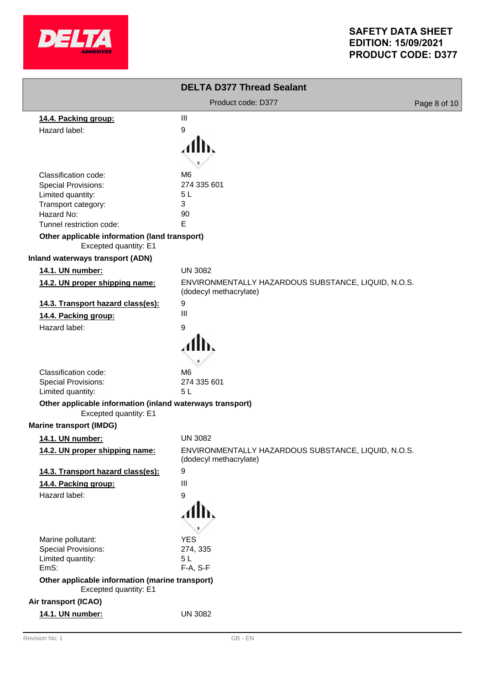

|                                                                                    | <b>DELTA D377 Thread Sealant</b>                                              |              |
|------------------------------------------------------------------------------------|-------------------------------------------------------------------------------|--------------|
|                                                                                    | Product code: D377                                                            | Page 8 of 10 |
| 14.4. Packing group:                                                               | $\mathbf{III}$                                                                |              |
| Hazard label:                                                                      | 9                                                                             |              |
|                                                                                    |                                                                               |              |
|                                                                                    |                                                                               |              |
|                                                                                    |                                                                               |              |
| Classification code:<br><b>Special Provisions:</b>                                 | M <sub>6</sub><br>274 335 601                                                 |              |
| Limited quantity:                                                                  | 5 <sub>L</sub>                                                                |              |
| Transport category:                                                                | 3                                                                             |              |
| Hazard No:                                                                         | 90                                                                            |              |
| Tunnel restriction code:                                                           | E                                                                             |              |
| Other applicable information (land transport)<br>Excepted quantity: E1             |                                                                               |              |
| <b>Inland waterways transport (ADN)</b>                                            |                                                                               |              |
| 14.1. UN number:                                                                   | <b>UN 3082</b>                                                                |              |
| 14.2. UN proper shipping name:                                                     | ENVIRONMENTALLY HAZARDOUS SUBSTANCE, LIQUID, N.O.S.<br>(dodecyl methacrylate) |              |
| 14.3. Transport hazard class(es):                                                  | 9                                                                             |              |
| 14.4. Packing group:                                                               | $\mathbf{III}$                                                                |              |
| Hazard label:                                                                      | 9                                                                             |              |
|                                                                                    |                                                                               |              |
|                                                                                    |                                                                               |              |
| Classification code:                                                               | M <sub>6</sub>                                                                |              |
| Special Provisions:                                                                | 274 335 601                                                                   |              |
| Limited quantity:                                                                  | 5L                                                                            |              |
| Other applicable information (inland waterways transport)<br>Excepted quantity: E1 |                                                                               |              |
| <b>Marine transport (IMDG)</b>                                                     |                                                                               |              |
| 14.1. UN number:                                                                   | <b>UN 3082</b>                                                                |              |
| 14.2. UN proper shipping name:                                                     | ENVIRONMENTALLY HAZARDOUS SUBSTANCE, LIQUID, N.O.S.<br>(dodecyl methacrylate) |              |
| 14.3. Transport hazard class(es):                                                  | 9                                                                             |              |
| 14.4. Packing group:                                                               | $\mathbf{III}$                                                                |              |
| Hazard label:                                                                      | 9                                                                             |              |
|                                                                                    | Alb.                                                                          |              |
| Marine pollutant:                                                                  | <b>YES</b>                                                                    |              |
| Special Provisions:                                                                | 274, 335                                                                      |              |
| Limited quantity:                                                                  | 5L                                                                            |              |
| EmS:                                                                               | F-A, S-F                                                                      |              |
| Other applicable information (marine transport)<br>Excepted quantity: E1           |                                                                               |              |
| Air transport (ICAO)                                                               |                                                                               |              |
| 14.1. UN number:                                                                   | <b>UN 3082</b>                                                                |              |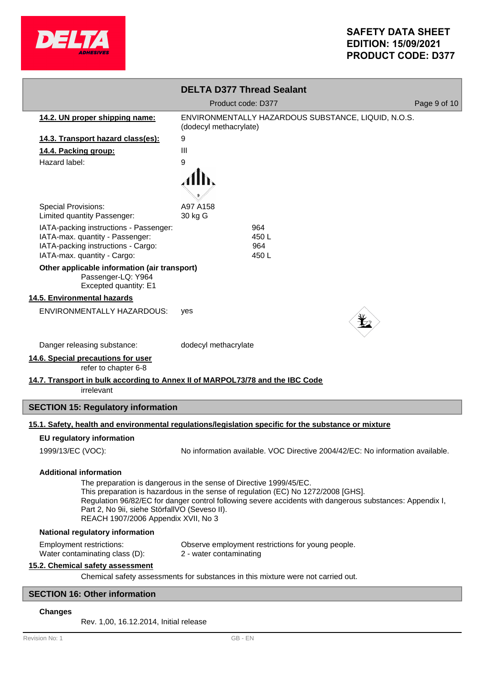

|                                                                                             | <b>DELTA D377 Thread Sealant</b>                                                                                                                                                                                                                                    |              |  |
|---------------------------------------------------------------------------------------------|---------------------------------------------------------------------------------------------------------------------------------------------------------------------------------------------------------------------------------------------------------------------|--------------|--|
|                                                                                             | Product code: D377                                                                                                                                                                                                                                                  | Page 9 of 10 |  |
| 14.2. UN proper shipping name:                                                              | ENVIRONMENTALLY HAZARDOUS SUBSTANCE, LIQUID, N.O.S.<br>(dodecyl methacrylate)                                                                                                                                                                                       |              |  |
| 14.3. Transport hazard class(es):                                                           | 9                                                                                                                                                                                                                                                                   |              |  |
| 14.4. Packing group:                                                                        | Ш                                                                                                                                                                                                                                                                   |              |  |
| Hazard label:                                                                               | 9                                                                                                                                                                                                                                                                   |              |  |
|                                                                                             |                                                                                                                                                                                                                                                                     |              |  |
| <b>Special Provisions:</b>                                                                  | A97 A158                                                                                                                                                                                                                                                            |              |  |
| Limited quantity Passenger:                                                                 | 30 kg G                                                                                                                                                                                                                                                             |              |  |
| IATA-packing instructions - Passenger:<br>IATA-max. quantity - Passenger:                   | 964<br>450 L                                                                                                                                                                                                                                                        |              |  |
| IATA-packing instructions - Cargo:                                                          | 964                                                                                                                                                                                                                                                                 |              |  |
| IATA-max. quantity - Cargo:                                                                 | 450L                                                                                                                                                                                                                                                                |              |  |
| Other applicable information (air transport)<br>Passenger-LQ: Y964<br>Excepted quantity: E1 |                                                                                                                                                                                                                                                                     |              |  |
| 14.5. Environmental hazards                                                                 |                                                                                                                                                                                                                                                                     |              |  |
| ENVIRONMENTALLY HAZARDOUS:                                                                  | yes                                                                                                                                                                                                                                                                 |              |  |
| Danger releasing substance:                                                                 | dodecyl methacrylate                                                                                                                                                                                                                                                |              |  |
| 14.6. Special precautions for user<br>refer to chapter 6-8                                  |                                                                                                                                                                                                                                                                     |              |  |
| 14.7. Transport in bulk according to Annex II of MARPOL73/78 and the IBC Code<br>irrelevant |                                                                                                                                                                                                                                                                     |              |  |
| <b>SECTION 15: Regulatory information</b>                                                   |                                                                                                                                                                                                                                                                     |              |  |
|                                                                                             | 15.1. Safety, health and environmental regulations/legislation specific for the substance or mixture                                                                                                                                                                |              |  |
| <b>EU regulatory information</b>                                                            |                                                                                                                                                                                                                                                                     |              |  |
| 1999/13/EC (VOC):                                                                           | No information available. VOC Directive 2004/42/EC: No information available.                                                                                                                                                                                       |              |  |
| <b>Additional information</b>                                                               |                                                                                                                                                                                                                                                                     |              |  |
| Part 2, No 9ii, siehe StörfallVO (Seveso II).<br>REACH 1907/2006 Appendix XVII, No 3        | The preparation is dangerous in the sense of Directive 1999/45/EC.<br>This preparation is hazardous in the sense of regulation (EC) No 1272/2008 [GHS].<br>Regulation 96/82/EC for danger control following severe accidents with dangerous substances: Appendix I, |              |  |
| National regulatory information                                                             |                                                                                                                                                                                                                                                                     |              |  |
| <b>Employment restrictions:</b><br>Water contaminating class (D):                           | Observe employment restrictions for young people.<br>2 - water contaminating                                                                                                                                                                                        |              |  |
| 15.2. Chemical safety assessment                                                            |                                                                                                                                                                                                                                                                     |              |  |
| Chemical safety assessments for substances in this mixture were not carried out.            |                                                                                                                                                                                                                                                                     |              |  |
| <b>SECTION 16: Other information</b>                                                        |                                                                                                                                                                                                                                                                     |              |  |

## **Changes**

Rev. 1,00, 16.12.2014, Initial release